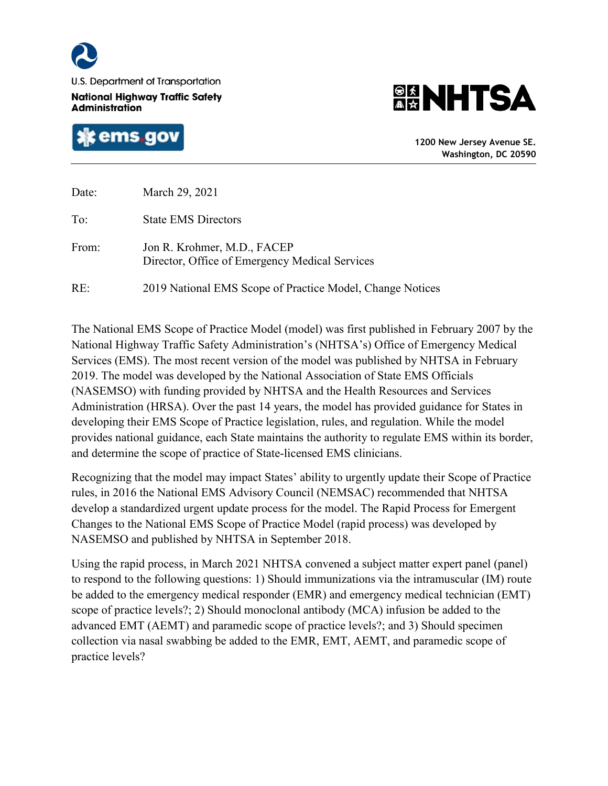

U.S. Department of Transportation

**National Highway Traffic Safety Administration** 





**1200 New Jersey Avenue SE. Washington, DC 20590**

| Date: | March 29, 2021                                                                |
|-------|-------------------------------------------------------------------------------|
| To:   | <b>State EMS Directors</b>                                                    |
| From: | Jon R. Krohmer, M.D., FACEP<br>Director, Office of Emergency Medical Services |
| RE:   | 2019 National EMS Scope of Practice Model, Change Notices                     |

The National EMS Scope of Practice Model (model) was first published in February 2007 by the National Highway Traffic Safety Administration's (NHTSA's) Office of Emergency Medical Services (EMS). The most recent version of the model was published by NHTSA in February 2019. The model was developed by the National Association of State EMS Officials (NASEMSO) with funding provided by NHTSA and the Health Resources and Services Administration (HRSA). Over the past 14 years, the model has provided guidance for States in developing their EMS Scope of Practice legislation, rules, and regulation. While the model provides national guidance, each State maintains the authority to regulate EMS within its border, and determine the scope of practice of State-licensed EMS clinicians.

Recognizing that the model may impact States' ability to urgently update their Scope of Practice rules, in 2016 the National EMS Advisory Council (NEMSAC) recommended that NHTSA develop a standardized urgent update process for the model. The Rapid Process for Emergent Changes to the National EMS Scope of Practice Model (rapid process) was developed by NASEMSO and published by NHTSA in September 2018.

Using the rapid process, in March 2021 NHTSA convened a subject matter expert panel (panel) to respond to the following questions: 1) Should immunizations via the intramuscular (IM) route be added to the emergency medical responder (EMR) and emergency medical technician (EMT) scope of practice levels?; 2) Should monoclonal antibody (MCA) infusion be added to the advanced EMT (AEMT) and paramedic scope of practice levels?; and 3) Should specimen collection via nasal swabbing be added to the EMR, EMT, AEMT, and paramedic scope of practice levels?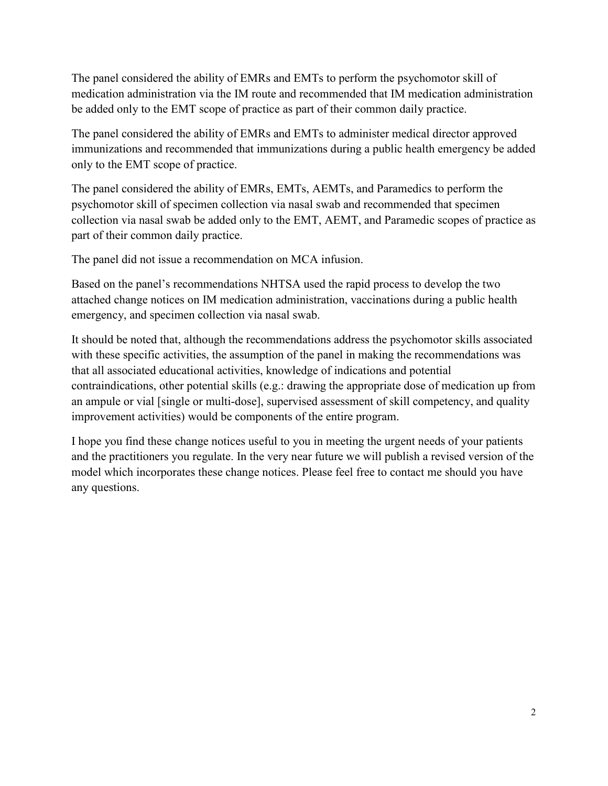The panel considered the ability of EMRs and EMTs to perform the psychomotor skill of medication administration via the IM route and recommended that IM medication administration be added only to the EMT scope of practice as part of their common daily practice.

The panel considered the ability of EMRs and EMTs to administer medical director approved immunizations and recommended that immunizations during a public health emergency be added only to the EMT scope of practice.

The panel considered the ability of EMRs, EMTs, AEMTs, and Paramedics to perform the psychomotor skill of specimen collection via nasal swab and recommended that specimen collection via nasal swab be added only to the EMT, AEMT, and Paramedic scopes of practice as part of their common daily practice.

The panel did not issue a recommendation on MCA infusion.

Based on the panel's recommendations NHTSA used the rapid process to develop the two attached change notices on IM medication administration, vaccinations during a public health emergency, and specimen collection via nasal swab.

It should be noted that, although the recommendations address the psychomotor skills associated with these specific activities, the assumption of the panel in making the recommendations was that all associated educational activities, knowledge of indications and potential contraindications, other potential skills (e.g.: drawing the appropriate dose of medication up from an ampule or vial [single or multi-dose], supervised assessment of skill competency, and quality improvement activities) would be components of the entire program.

I hope you find these change notices useful to you in meeting the urgent needs of your patients and the practitioners you regulate. In the very near future we will publish a revised version of the model which incorporates these change notices. Please feel free to contact me should you have any questions.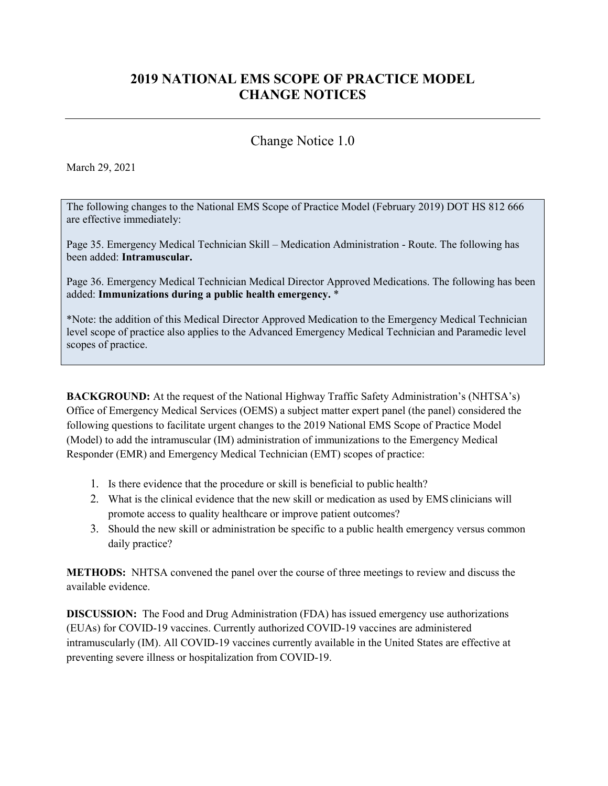# **2019 NATIONAL EMS SCOPE OF PRACTICE MODEL CHANGE NOTICES**

## Change Notice 1.0

March 29, 2021

The following changes to the National EMS Scope of Practice Model (February 2019) DOT HS 812 666 are effective immediately:

Page 35. Emergency Medical Technician Skill – Medication Administration - Route. The following has been added: **Intramuscular.** 

Page 36. Emergency Medical Technician Medical Director Approved Medications. The following has been added: **Immunizations during a public health emergency.** \*

\*Note: the addition of this Medical Director Approved Medication to the Emergency Medical Technician level scope of practice also applies to the Advanced Emergency Medical Technician and Paramedic level scopes of practice.

**BACKGROUND:** At the request of the National Highway Traffic Safety Administration's (NHTSA's) Office of Emergency Medical Services (OEMS) a subject matter expert panel (the panel) considered the following questions to facilitate urgent changes to the 2019 National EMS Scope of Practice Model (Model) to add the intramuscular (IM) administration of immunizations to the Emergency Medical Responder (EMR) and Emergency Medical Technician (EMT) scopes of practice:

- 1. Is there evidence that the procedure or skill is beneficial to public health?
- 2. What is the clinical evidence that the new skill or medication as used by EMS clinicians will promote access to quality healthcare or improve patient outcomes?
- 3. Should the new skill or administration be specific to a public health emergency versus common daily practice?

**METHODS:** NHTSA convened the panel over the course of three meetings to review and discuss the available evidence.

**DISCUSSION:** The Food and Drug Administration (FDA) has issued emergency use authorizations (EUAs) for COVID-19 vaccines. Currently authorized COVID-19 vaccines are administered intramuscularly (IM). All COVID-19 vaccines currently available in the United States are effective at preventing severe illness or hospitalization from COVID-19.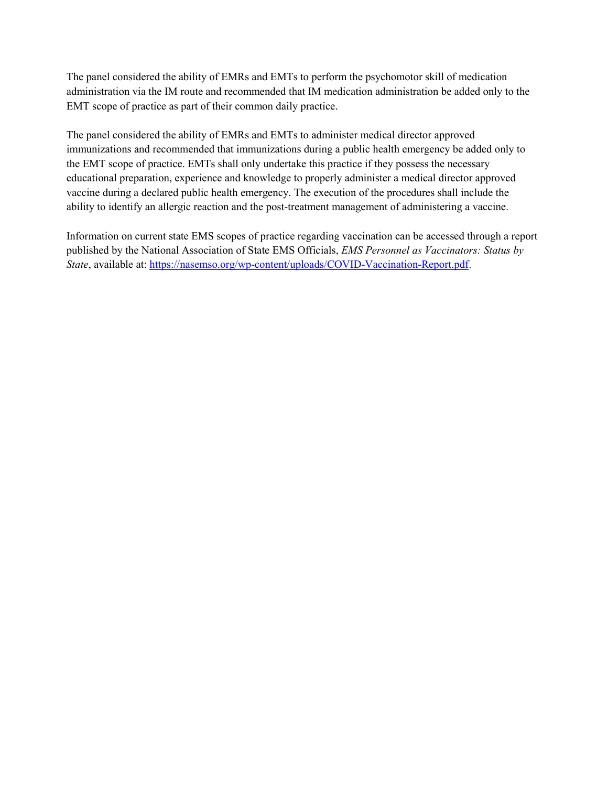The panel considered the ability of EMRs and EMTs to perform the psychomotor skill of medication administration via the IM route and recommended that IM medication administration be added only to the EMT scope of practice as part of their common daily practice.

The panel considered the ability of EMRs and EMTs to administer medical director approved immunizations and recommended that immunizations during a public health emergency be added only to the EMT scope of practice. EMTs shall only undertake this practice if they possess the necessary educational preparation, experience and knowledge to properly administer a medical director approved vaccine during a declared public health emergency. The execution of the procedures shall include the ability to identify an allergic reaction and the post-treatment management of administering a vaccine.

Information on current state EMS scopes of practice regarding vaccination can be accessed through a report published by the National Association of State EMS Officials, *EMS Personnel as Vaccinators: Status by State*, available at[: https://nasemso.org/wp-content/uploads/COVID-Vaccination-Report.pdf.](https://nasemso.org/wp-content/uploads/COVID-Vaccination-Report.pdf)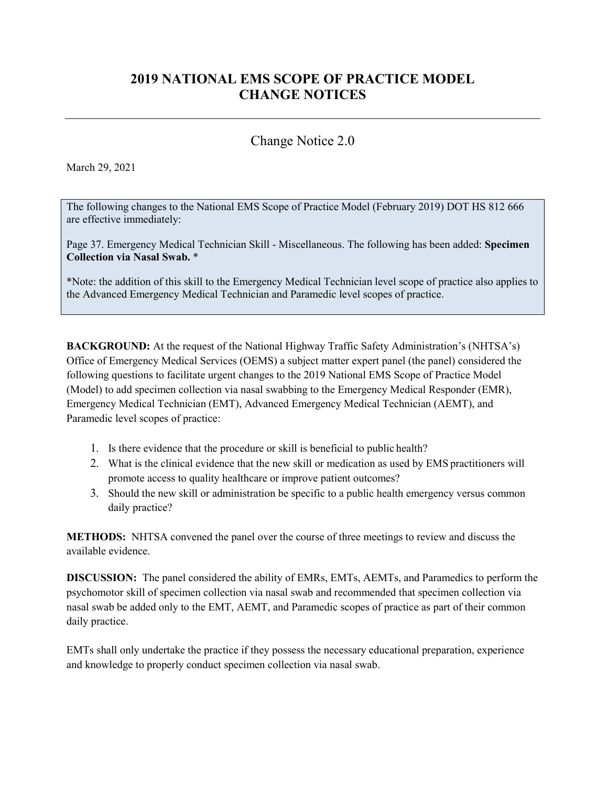# **2019 NATIONAL EMS SCOPE OF PRACTICE MODEL CHANGE NOTICES**

## Change Notice 2.0

### March 29, 2021

The following changes to the National EMS Scope of Practice Model (February 2019) DOT HS 812 666 are effective immediately:

Page 37. Emergency Medical Technician Skill - Miscellaneous. The following has been added: **Specimen Collection via Nasal Swab.** \*

\*Note: the addition of this skill to the Emergency Medical Technician level scope of practice also applies to the Advanced Emergency Medical Technician and Paramedic level scopes of practice.

**BACKGROUND:** At the request of the National Highway Traffic Safety Administration's (NHTSA's) Office of Emergency Medical Services (OEMS) a subject matter expert panel (the panel) considered the following questions to facilitate urgent changes to the 2019 National EMS Scope of Practice Model (Model) to add specimen collection via nasal swabbing to the Emergency Medical Responder (EMR), Emergency Medical Technician (EMT), Advanced Emergency Medical Technician (AEMT), and Paramedic level scopes of practice:

- 1. Is there evidence that the procedure or skill is beneficial to public health?
- 2. What is the clinical evidence that the new skill or medication as used by EMS practitioners will promote access to quality healthcare or improve patient outcomes?
- 3. Should the new skill or administration be specific to a public health emergency versus common daily practice?

**METHODS:** NHTSA convened the panel over the course of three meetings to review and discuss the available evidence.

**DISCUSSION:** The panel considered the ability of EMRs, EMTs, AEMTs, and Paramedics to perform the psychomotor skill of specimen collection via nasal swab and recommended that specimen collection via nasal swab be added only to the EMT, AEMT, and Paramedic scopes of practice as part of their common daily practice.

EMTs shall only undertake the practice if they possess the necessary educational preparation, experience and knowledge to properly conduct specimen collection via nasal swab.